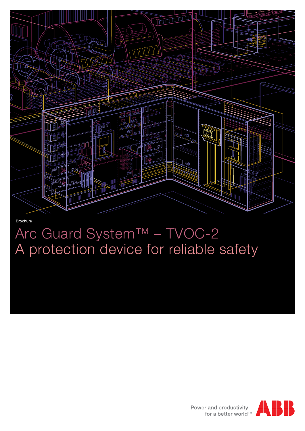

### Brochure

# Arc Guard System™ – TVOC-2 A protection device for reliable safety

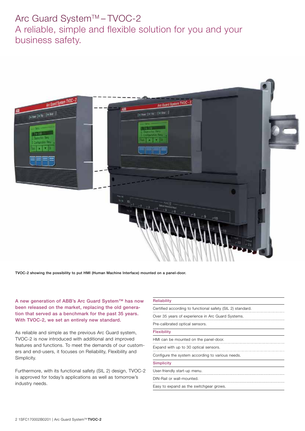# Arc Guard System™-TVOC-2 A reliable, simple and flexible solution for you and your business safety.



TVOC-2 showing the possibility to put HMI (Human Machine Interface) mounted on a panel-door.

A new generation of ABB's Arc Guard System™ has now been released on the market, replacing the old generation that served as a benchmark for the past 35 years. With TVOC-2, we set an entirely new standard.

As reliable and simple as the previous Arc Guard system, TVOC-2 is now introduced with additional and improved features and functions. To meet the demands of our customers and end-users, it focuses on Reliability, Flexibility and Simplicity.

Furthermore, with its functional safety (SIL 2) design, TVOC-2 is approved for today's applications as well as tomorrow's industry needs.

| Reliability                                                |
|------------------------------------------------------------|
| Certified according to functional safety (SIL 2) standard. |
| Over 35 years of experience in Arc Guard Systems.          |
| Pre-calibrated optical sensors.                            |
| <b>Flexibility</b>                                         |
| HMI can be mounted on the panel-door.                      |
| Expand with up to 30 optical sensors.                      |
| Configure the system according to various needs.           |
| Simplicity                                                 |
| User-friendly start-up menu.                               |
| DIN-Rail or wall-mounted.                                  |
| Easy to expand as the switchgear grows.                    |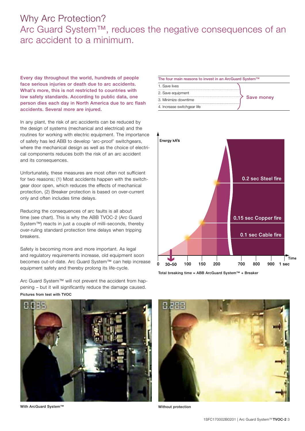### Why Arc Protection? Arc Guard System™, reduces the negative consequences of an arc accident to a minimum.

Every day throughout the world, hundreds of people face serious injuries or death due to arc accidents. What's more, this is not restricted to countries with low safety standards. According to public data, one person dies each day in North America due to arc flash accidents. Several more are injured.

In any plant, the risk of arc accidents can be reduced by the design of systems (mechanical and electrical) and the routines for working with electric equipment. The importance of safety has led ABB to develop 'arc-proof' switchgears, where the mechanical design as well as the choice of electrical components reduces both the risk of an arc accident and its consequences.

Unfortunately, these measures are most often not sufficient for two reasons; (1) Most accidents happen with the switchgear door open, which reduces the effects of mechanical protection, (2) Breaker protection is based on over-current only and often includes time delays.

Reducing the consequences of arc faults is all about time (see chart). This is why the ABB TVOC-2 (Arc Guard System™) reacts in just a couple of milli-seconds, thereby over-ruling standard protection time delays when tripping breakers.

Safety is becoming more and more important. As legal and regulatory requirements increase, old equipment soon becomes out-of-date. Arc Guard System™ can help increase equipment safety and thereby prolong its life-cycle.

Arc Guard System™ will not prevent the accident from happening – but it will significantly reduce the damage caused. Pictures from test with TVOC





Total breaking time = ABB ArcGuard System™ + Breaker



With ArcGuard System™



Without protection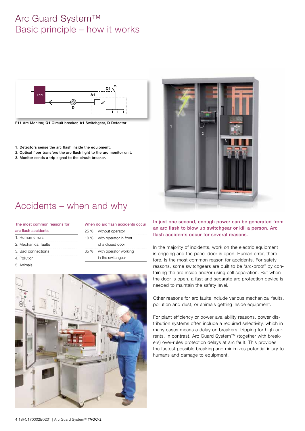# Arc Guard System™ Basic principle – how it works



**F11** Arc Monitor, **Q1** Circuit breaker, **A1** Switchgear, **D** Detector

- 1. Detectors sense the arc flash inside the equipment.
- 2. Optical fiber transfers the arc flash light to the arc monitor unit.
- 3. Monitor sends a trip signal to the circuit breaker.



# Accidents – when and why

| The most common reasons for |      | When do arc flash accidents occur |  |
|-----------------------------|------|-----------------------------------|--|
| arc flash accidents         | 25%  | without operator                  |  |
| 1. Human errors             |      | 10 % with operator in front       |  |
| 2. Mechanical faults        |      | of a closed door                  |  |
| 3. Bad connections          | 65 % | with operator working             |  |
| 4. Pollution                |      | in the switchgear                 |  |
| 5 Animals                   |      |                                   |  |



In just one second, enough power can be generated from an arc flash to blow up switchgear or kill a person. Arc flash accidents occur for several reasons.

In the majority of incidents, work on the electric equipment is ongoing and the panel-door is open. Human error, therefore, is the most common reason for accidents. For safety reasons, some switchgears are built to be 'arc-proof' by containing the arc inside and/or using cell separation. But when the door is open, a fast and separate arc protection device is needed to maintain the safety level.

Other reasons for arc faults include various mechanical faults, pollution and dust, or animals getting inside equipment.

For plant efficiency or power availability reasons, power distribution systems often include a required selectivity, which in many cases means a delay on breakers' tripping for high currents. In contrast, Arc Guard System™ (together with breakers) over-rules protection delays at arc fault. This provides the fastest possible breaking and minimizes potential injury to humans and damage to equipment.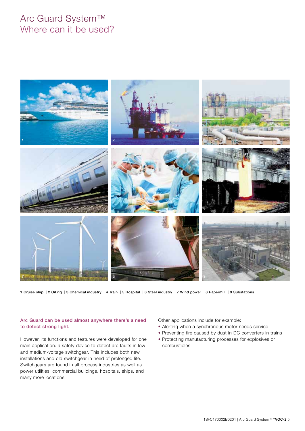### Arc Guard System™ Where can it be used?



1 Cruise ship | 2 Oil rig | 3 Chemical industry | 4 Train | 5 Hospital | 6 Steel industry | 7 Wind power | 8 Papermill | 9 Substations

### Arc Guard can be used almost anywhere there's a need to detect strong light.

However, its functions and features were developed for one main application: a safety device to detect arc faults in low and medium-voltage switchgear. This includes both new installations and old switchgear in need of prolonged life. Switchgears are found in all process industries as well as power utilities, commercial buildings, hospitals, ships, and many more locations.

Other applications include for example:

- Alerting when a synchronous motor needs service
- Preventing fire caused by dust in DC converters in trains
- Protecting manufacturing processes for explosives or combustibles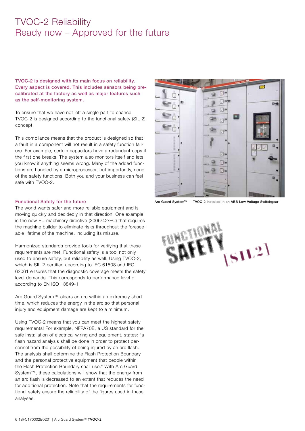### TVOC-2 Reliability Ready now – Approved for the future

TVOC-2 is designed with its main focus on reliability. Every aspect is covered. This includes sensors being precalibrated at the factory as well as major features such as the self-monitoring system.

To ensure that we have not left a single part to chance, TVOC-2 is designed according to the functional safety (SIL 2) concept.

This compliance means that the product is designed so that a fault in a component will not result in a safety function failure. For example, certain capacitors have a redundant copy if the first one breaks. The system also monitors itself and lets you know if anything seems wrong. Many of the added functions are handled by a microprocessor, but importantly, none of the safety functions. Both you and your business can feel safe with TVOC-2.

### Functional Safety for the future

The world wants safer and more reliable equipment and is moving quickly and decidedly in that direction. One example is the new EU machinery directive (2006/42/EC) that requires the machine builder to eliminate risks throughout the foreseeable lifetime of the machine, including its misuse.

Harmonized standards provide tools for verifying that these requirements are met. Functional safety is a tool not only used to ensure safety, but reliability as well. Using TVOC-2, which is SIL 2-certified according to IEC 61508 and IEC 62061 ensures that the diagnostic coverage meets the safety level demands. This corresponds to performance level d according to EN ISO 13849-1

Arc Guard System™ clears an arc within an extremely short time, which reduces the energy in the arc so that personal injury and equipment damage are kept to a minimum.

Using TVOC-2 means that you can meet the highest safety requirements! For example, NFPA70E, a US standard for the safe installation of electrical wiring and equipment, states: "a flash hazard analysis shall be done in order to protect personnel from the possibility of being injured by an arc flash. The analysis shall determine the Flash Protection Boundary and the personal protective equipment that people within the Flash Protection Boundary shall use." With Arc Guard System™, these calculations will show that the energy from an arc flash is decreased to an extent that reduces the need for additional protection. Note that the requirements for functional safety ensure the reliability of the figures used in these analyses.



Arc Guard System™ - TVOC-2 installed in an ABB Low Voltage Switchgear

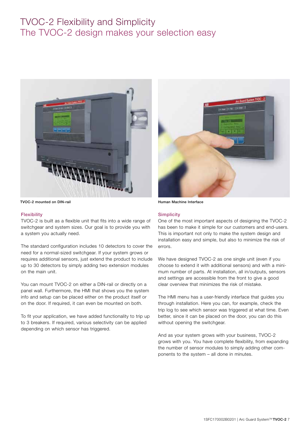# TVOC-2 Flexibility and Simplicity The TVOC-2 design makes your selection easy



TVOC-2 mounted on DIN-rail **Human Machine Interface** 

### Flexibility

TVOC-2 is built as a flexible unit that fits into a wide range of switchgear and system sizes. Our goal is to provide you with a system you actually need.

The standard configuration includes 10 detectors to cover the need for a normal-sized switchgear. If your system grows or requires additional sensors, just extend the product to include up to 30 detectors by simply adding two extension modules on the main unit.

You can mount TVOC-2 on either a DIN-rail or directly on a panel wall. Furthermore, the HMI that shows you the system info and setup can be placed either on the product itself or on the door. If required, it can even be mounted on both.

To fit your application, we have added functionality to trip up to 3 breakers. If required, various selectivity can be applied depending on which sensor has triggered.



### **Simplicity**

One of the most important aspects of designing the TVOC-2 has been to make it simple for our customers and end-users. This is important not only to make the system design and installation easy and simple, but also to minimize the risk of errors.

We have designed TVOC-2 as one single unit (even if you choose to extend it with additional sensors) and with a minimum number of parts. At installation, all in/outputs, sensors and settings are accessible from the front to give a good clear overview that minimizes the risk of mistake.

The HMI menu has a user-friendly interface that guides you through installation. Here you can, for example, check the trip log to see which sensor was triggered at what time. Even better, since it can be placed on the door, you can do this without opening the switchgear.

And as your system grows with your business, TVOC-2 grows with you. You have complete flexibility, from expanding the number of sensor modules to simply adding other components to the system – all done in minutes.